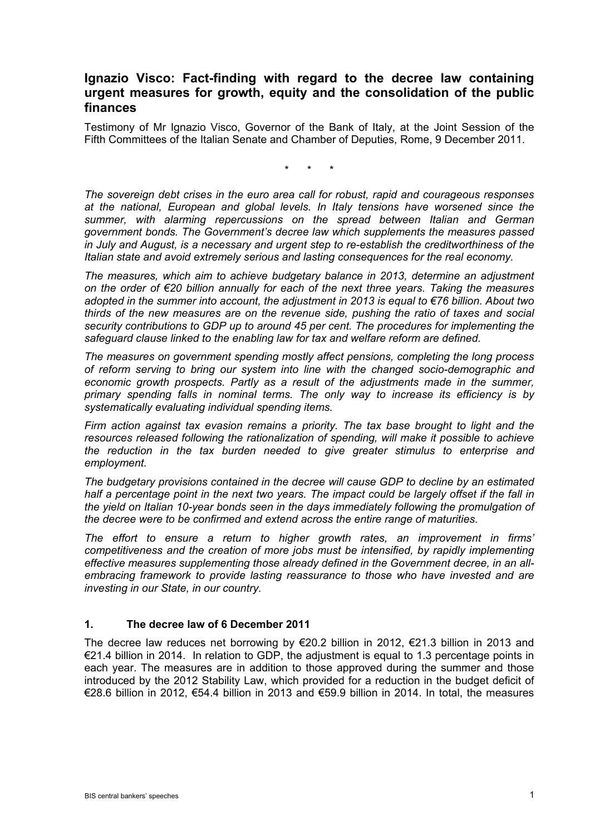## **Ignazio Visco: Fact-finding with regard to the decree law containing urgent measures for growth, equity and the consolidation of the public finances**

Testimony of Mr Ignazio Visco, Governor of the Bank of Italy, at the Joint Session of the Fifth Committees of the Italian Senate and Chamber of Deputies, Rome, 9 December 2011.

\* \* \*

*The sovereign debt crises in the euro area call for robust, rapid and courageous responses at the national, European and global levels. In Italy tensions have worsened since the summer, with alarming repercussions on the spread between Italian and German government bonds. The Government's decree law which supplements the measures passed in July and August, is a necessary and urgent step to re-establish the creditworthiness of the Italian state and avoid extremely serious and lasting consequences for the real economy.* 

*The measures, which aim to achieve budgetary balance in 2013, determine an adjustment on the order of €20 billion annually for each of the next three years. Taking the measures adopted in the summer into account, the adjustment in 2013 is equal to €76 billion. About two thirds of the new measures are on the revenue side, pushing the ratio of taxes and social security contributions to GDP up to around 45 per cent. The procedures for implementing the safeguard clause linked to the enabling law for tax and welfare reform are defined.* 

*The measures on government spending mostly affect pensions, completing the long process of reform serving to bring our system into line with the changed socio-demographic and economic growth prospects. Partly as a result of the adjustments made in the summer, primary spending falls in nominal terms. The only way to increase its efficiency is by systematically evaluating individual spending items.* 

*Firm action against tax evasion remains a priority. The tax base brought to light and the resources released following the rationalization of spending, will make it possible to achieve the reduction in the tax burden needed to give greater stimulus to enterprise and employment.* 

*The budgetary provisions contained in the decree will cause GDP to decline by an estimated half a percentage point in the next two years. The impact could be largely offset if the fall in the yield on Italian 10-year bonds seen in the days immediately following the promulgation of the decree were to be confirmed and extend across the entire range of maturities.* 

*The effort to ensure a return to higher growth rates, an improvement in firms' competitiveness and the creation of more jobs must be intensified, by rapidly implementing effective measures supplementing those already defined in the Government decree, in an allembracing framework to provide lasting reassurance to those who have invested and are investing in our State, in our country.* 

#### **1. The decree law of 6 December 2011**

The decree law reduces net borrowing by  $\epsilon$ 20.2 billion in 2012,  $\epsilon$ 21.3 billion in 2013 and €21.4 billion in 2014. In relation to GDP, the adjustment is equal to 1.3 percentage points in each year. The measures are in addition to those approved during the summer and those introduced by the 2012 Stability Law, which provided for a reduction in the budget deficit of €28.6 billion in 2012, €54.4 billion in 2013 and €59.9 billion in 2014. In total, the measures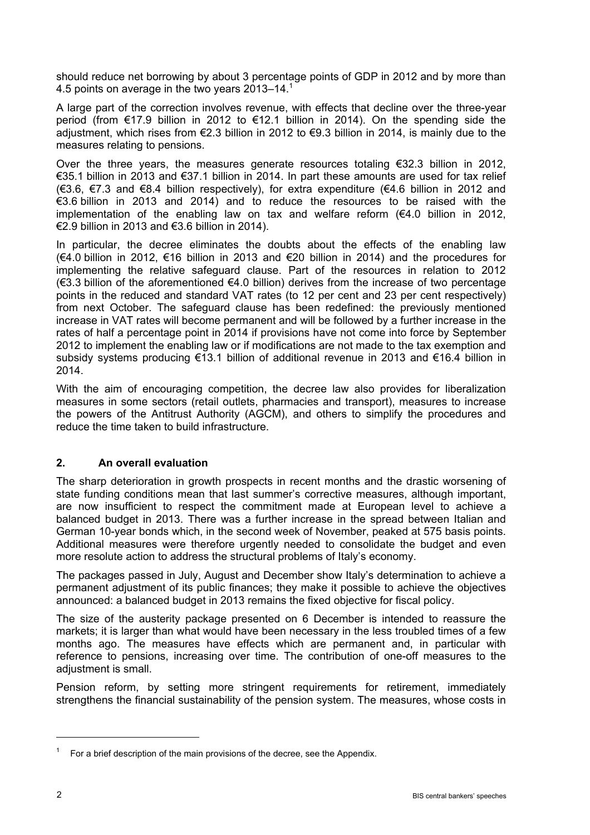should reduce net borrowing by about 3 percentage points of GDP in 2012 and by more than 4.5 points on average in the two years 2013–14.<sup>1</sup>

A large part of the correction involves revenue, with effects that decline over the three-year period (from €17.9 billion in 2012 to €12.1 billion in 2014). On the spending side the adjustment, which rises from €2.3 billion in 2012 to €9.3 billion in 2014, is mainly due to the measures relating to pensions.

Over the three years, the measures generate resources totaling  $\epsilon$ 32.3 billion in 2012. €35.1 billion in 2013 and €37.1 billion in 2014. In part these amounts are used for tax relief (€3.6, €7.3 and €8.4 billion respectively), for extra expenditure (€4.6 billion in 2012 and €3.6 billion in 2013 and 2014) and to reduce the resources to be raised with the implementation of the enabling law on tax and welfare reform  $(€4.0)$  billion in 2012, €2.9 billion in 2013 and €3.6 billion in 2014).

In particular, the decree eliminates the doubts about the effects of the enabling law (€4.0 billion in 2012, €16 billion in 2013 and €20 billion in 2014) and the procedures for implementing the relative safeguard clause. Part of the resources in relation to 2012 (€3.3 billion of the aforementioned €4.0 billion) derives from the increase of two percentage points in the reduced and standard VAT rates (to 12 per cent and 23 per cent respectively) from next October. The safeguard clause has been redefined: the previously mentioned increase in VAT rates will become permanent and will be followed by a further increase in the rates of half a percentage point in 2014 if provisions have not come into force by September 2012 to implement the enabling law or if modifications are not made to the tax exemption and subsidy systems producing €13.1 billion of additional revenue in 2013 and €16.4 billion in 2014.

With the aim of encouraging competition, the decree law also provides for liberalization measures in some sectors (retail outlets, pharmacies and transport), measures to increase the powers of the Antitrust Authority (AGCM), and others to simplify the procedures and reduce the time taken to build infrastructure.

#### **2. An overall evaluation**

The sharp deterioration in growth prospects in recent months and the drastic worsening of state funding conditions mean that last summer's corrective measures, although important, are now insufficient to respect the commitment made at European level to achieve a balanced budget in 2013. There was a further increase in the spread between Italian and German 10-year bonds which, in the second week of November, peaked at 575 basis points. Additional measures were therefore urgently needed to consolidate the budget and even more resolute action to address the structural problems of Italy's economy.

The packages passed in July, August and December show Italy's determination to achieve a permanent adjustment of its public finances; they make it possible to achieve the objectives announced: a balanced budget in 2013 remains the fixed objective for fiscal policy.

The size of the austerity package presented on 6 December is intended to reassure the markets; it is larger than what would have been necessary in the less troubled times of a few months ago. The measures have effects which are permanent and, in particular with reference to pensions, increasing over time. The contribution of one-off measures to the adjustment is small.

Pension reform, by setting more stringent requirements for retirement, immediately strengthens the financial sustainability of the pension system. The measures, whose costs in

 $\overline{a}$ 

<sup>1</sup> For a brief description of the main provisions of the decree, see the Appendix.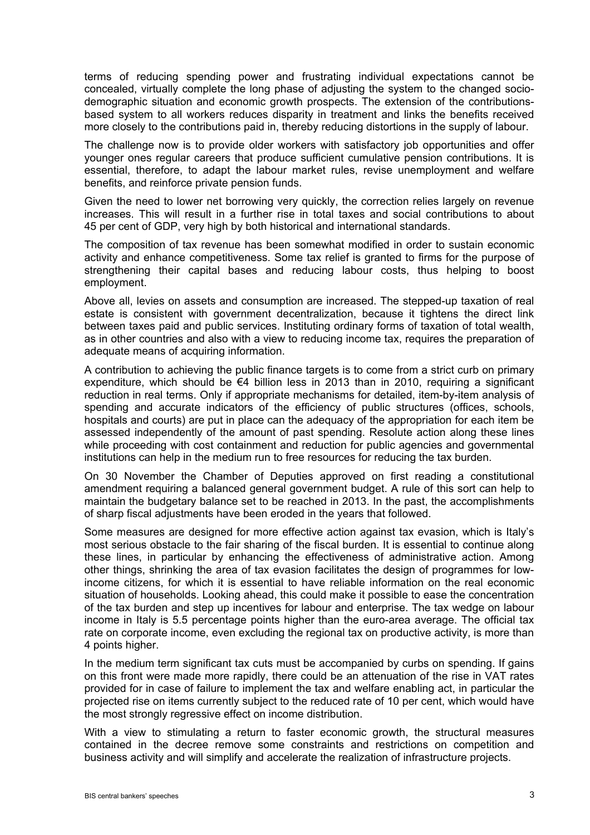terms of reducing spending power and frustrating individual expectations cannot be concealed, virtually complete the long phase of adjusting the system to the changed sociodemographic situation and economic growth prospects. The extension of the contributionsbased system to all workers reduces disparity in treatment and links the benefits received more closely to the contributions paid in, thereby reducing distortions in the supply of labour.

The challenge now is to provide older workers with satisfactory job opportunities and offer younger ones regular careers that produce sufficient cumulative pension contributions. It is essential, therefore, to adapt the labour market rules, revise unemployment and welfare benefits, and reinforce private pension funds.

Given the need to lower net borrowing very quickly, the correction relies largely on revenue increases. This will result in a further rise in total taxes and social contributions to about 45 per cent of GDP, very high by both historical and international standards.

The composition of tax revenue has been somewhat modified in order to sustain economic activity and enhance competitiveness. Some tax relief is granted to firms for the purpose of strengthening their capital bases and reducing labour costs, thus helping to boost employment.

Above all, levies on assets and consumption are increased. The stepped-up taxation of real estate is consistent with government decentralization, because it tightens the direct link between taxes paid and public services. Instituting ordinary forms of taxation of total wealth, as in other countries and also with a view to reducing income tax, requires the preparation of adequate means of acquiring information.

A contribution to achieving the public finance targets is to come from a strict curb on primary expenditure, which should be €4 billion less in 2013 than in 2010, requiring a significant reduction in real terms. Only if appropriate mechanisms for detailed, item-by-item analysis of spending and accurate indicators of the efficiency of public structures (offices, schools, hospitals and courts) are put in place can the adequacy of the appropriation for each item be assessed independently of the amount of past spending. Resolute action along these lines while proceeding with cost containment and reduction for public agencies and governmental institutions can help in the medium run to free resources for reducing the tax burden.

On 30 November the Chamber of Deputies approved on first reading a constitutional amendment requiring a balanced general government budget. A rule of this sort can help to maintain the budgetary balance set to be reached in 2013. In the past, the accomplishments of sharp fiscal adjustments have been eroded in the years that followed.

Some measures are designed for more effective action against tax evasion, which is Italy's most serious obstacle to the fair sharing of the fiscal burden. It is essential to continue along these lines, in particular by enhancing the effectiveness of administrative action. Among other things, shrinking the area of tax evasion facilitates the design of programmes for lowincome citizens, for which it is essential to have reliable information on the real economic situation of households. Looking ahead, this could make it possible to ease the concentration of the tax burden and step up incentives for labour and enterprise. The tax wedge on labour income in Italy is 5.5 percentage points higher than the euro-area average. The official tax rate on corporate income, even excluding the regional tax on productive activity, is more than 4 points higher.

In the medium term significant tax cuts must be accompanied by curbs on spending. If gains on this front were made more rapidly, there could be an attenuation of the rise in VAT rates provided for in case of failure to implement the tax and welfare enabling act, in particular the projected rise on items currently subject to the reduced rate of 10 per cent, which would have the most strongly regressive effect on income distribution.

With a view to stimulating a return to faster economic growth, the structural measures contained in the decree remove some constraints and restrictions on competition and business activity and will simplify and accelerate the realization of infrastructure projects.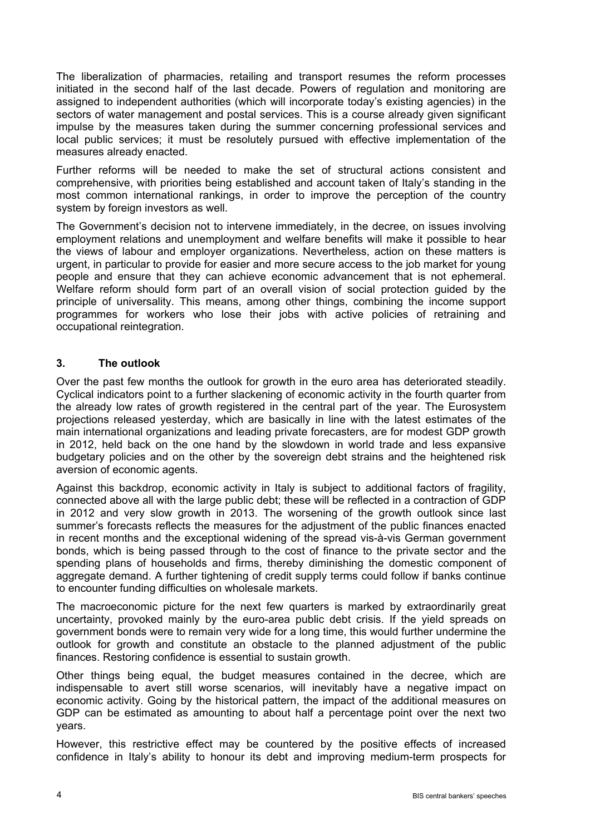The liberalization of pharmacies, retailing and transport resumes the reform processes initiated in the second half of the last decade. Powers of regulation and monitoring are assigned to independent authorities (which will incorporate today's existing agencies) in the sectors of water management and postal services. This is a course already given significant impulse by the measures taken during the summer concerning professional services and local public services; it must be resolutely pursued with effective implementation of the measures already enacted.

Further reforms will be needed to make the set of structural actions consistent and comprehensive, with priorities being established and account taken of Italy's standing in the most common international rankings, in order to improve the perception of the country system by foreign investors as well.

The Government's decision not to intervene immediately, in the decree, on issues involving employment relations and unemployment and welfare benefits will make it possible to hear the views of labour and employer organizations. Nevertheless, action on these matters is urgent, in particular to provide for easier and more secure access to the job market for young people and ensure that they can achieve economic advancement that is not ephemeral. Welfare reform should form part of an overall vision of social protection guided by the principle of universality. This means, among other things, combining the income support programmes for workers who lose their jobs with active policies of retraining and occupational reintegration.

## **3. The outlook**

Over the past few months the outlook for growth in the euro area has deteriorated steadily. Cyclical indicators point to a further slackening of economic activity in the fourth quarter from the already low rates of growth registered in the central part of the year. The Eurosystem projections released yesterday, which are basically in line with the latest estimates of the main international organizations and leading private forecasters, are for modest GDP growth in 2012, held back on the one hand by the slowdown in world trade and less expansive budgetary policies and on the other by the sovereign debt strains and the heightened risk aversion of economic agents.

Against this backdrop, economic activity in Italy is subject to additional factors of fragility, connected above all with the large public debt; these will be reflected in a contraction of GDP in 2012 and very slow growth in 2013. The worsening of the growth outlook since last summer's forecasts reflects the measures for the adjustment of the public finances enacted in recent months and the exceptional widening of the spread vis-à-vis German government bonds, which is being passed through to the cost of finance to the private sector and the spending plans of households and firms, thereby diminishing the domestic component of aggregate demand. A further tightening of credit supply terms could follow if banks continue to encounter funding difficulties on wholesale markets.

The macroeconomic picture for the next few quarters is marked by extraordinarily great uncertainty, provoked mainly by the euro-area public debt crisis. If the yield spreads on government bonds were to remain very wide for a long time, this would further undermine the outlook for growth and constitute an obstacle to the planned adjustment of the public finances. Restoring confidence is essential to sustain growth.

Other things being equal, the budget measures contained in the decree, which are indispensable to avert still worse scenarios, will inevitably have a negative impact on economic activity. Going by the historical pattern, the impact of the additional measures on GDP can be estimated as amounting to about half a percentage point over the next two years.

However, this restrictive effect may be countered by the positive effects of increased confidence in Italy's ability to honour its debt and improving medium-term prospects for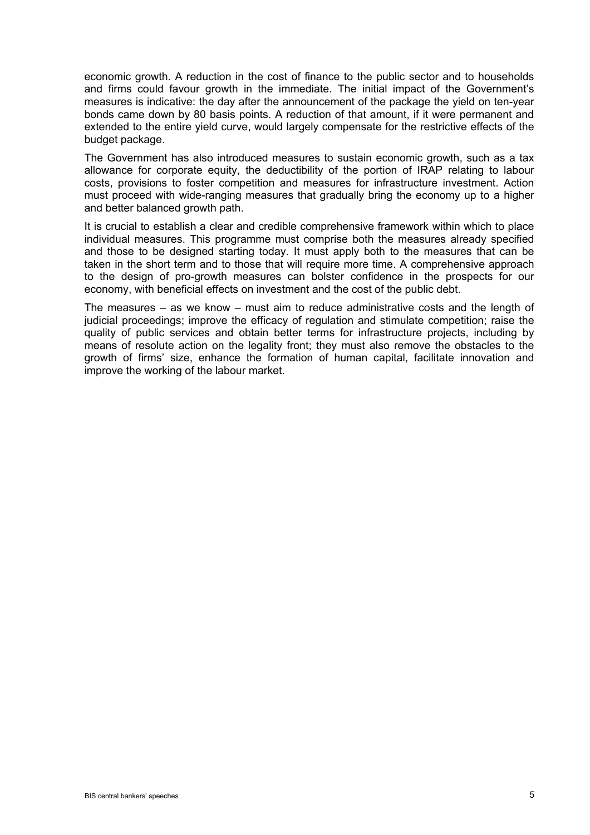economic growth. A reduction in the cost of finance to the public sector and to households and firms could favour growth in the immediate. The initial impact of the Government's measures is indicative: the day after the announcement of the package the yield on ten-year bonds came down by 80 basis points. A reduction of that amount, if it were permanent and extended to the entire yield curve, would largely compensate for the restrictive effects of the budget package.

The Government has also introduced measures to sustain economic growth, such as a tax allowance for corporate equity, the deductibility of the portion of IRAP relating to labour costs, provisions to foster competition and measures for infrastructure investment. Action must proceed with wide-ranging measures that gradually bring the economy up to a higher and better balanced growth path.

It is crucial to establish a clear and credible comprehensive framework within which to place individual measures. This programme must comprise both the measures already specified and those to be designed starting today. It must apply both to the measures that can be taken in the short term and to those that will require more time. A comprehensive approach to the design of pro-growth measures can bolster confidence in the prospects for our economy, with beneficial effects on investment and the cost of the public debt.

The measures – as we know – must aim to reduce administrative costs and the length of judicial proceedings; improve the efficacy of regulation and stimulate competition; raise the quality of public services and obtain better terms for infrastructure projects, including by means of resolute action on the legality front; they must also remove the obstacles to the growth of firms' size, enhance the formation of human capital, facilitate innovation and improve the working of the labour market.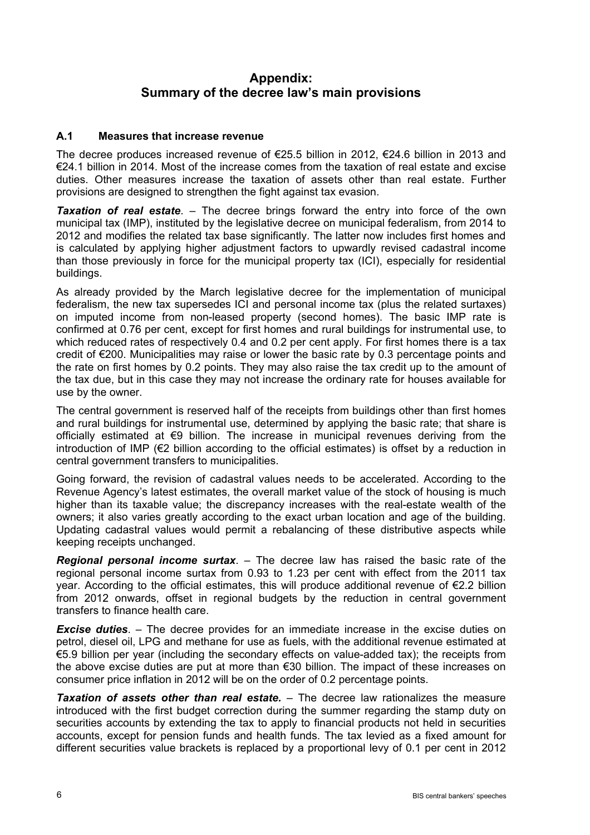## **Appendix: Summary of the decree law's main provisions**

## **A.1 Measures that increase revenue**

The decree produces increased revenue of  $\epsilon$ 25.5 billion in 2012,  $\epsilon$ 24.6 billion in 2013 and €24.1 billion in 2014. Most of the increase comes from the taxation of real estate and excise duties. Other measures increase the taxation of assets other than real estate. Further provisions are designed to strengthen the fight against tax evasion.

**Taxation of real estate**. – The decree brings forward the entry into force of the own municipal tax (IMP), instituted by the legislative decree on municipal federalism, from 2014 to 2012 and modifies the related tax base significantly. The latter now includes first homes and is calculated by applying higher adjustment factors to upwardly revised cadastral income than those previously in force for the municipal property tax (ICI), especially for residential buildings.

As already provided by the March legislative decree for the implementation of municipal federalism, the new tax supersedes ICI and personal income tax (plus the related surtaxes) on imputed income from non-leased property (second homes). The basic IMP rate is confirmed at 0.76 per cent, except for first homes and rural buildings for instrumental use, to which reduced rates of respectively 0.4 and 0.2 per cent apply. For first homes there is a tax credit of €200. Municipalities may raise or lower the basic rate by 0.3 percentage points and the rate on first homes by 0.2 points. They may also raise the tax credit up to the amount of the tax due, but in this case they may not increase the ordinary rate for houses available for use by the owner.

The central government is reserved half of the receipts from buildings other than first homes and rural buildings for instrumental use, determined by applying the basic rate; that share is officially estimated at €9 billion. The increase in municipal revenues deriving from the introduction of IMP (€2 billion according to the official estimates) is offset by a reduction in central government transfers to municipalities.

Going forward, the revision of cadastral values needs to be accelerated. According to the Revenue Agency's latest estimates, the overall market value of the stock of housing is much higher than its taxable value; the discrepancy increases with the real-estate wealth of the owners; it also varies greatly according to the exact urban location and age of the building. Updating cadastral values would permit a rebalancing of these distributive aspects while keeping receipts unchanged.

*Regional personal income surtax*. – The decree law has raised the basic rate of the regional personal income surtax from 0.93 to 1.23 per cent with effect from the 2011 tax year. According to the official estimates, this will produce additional revenue of €2.2 billion from 2012 onwards, offset in regional budgets by the reduction in central government transfers to finance health care.

*Excise duties*. – The decree provides for an immediate increase in the excise duties on petrol, diesel oil, LPG and methane for use as fuels, with the additional revenue estimated at €5.9 billion per year (including the secondary effects on value-added tax); the receipts from the above excise duties are put at more than €30 billion. The impact of these increases on consumer price inflation in 2012 will be on the order of 0.2 percentage points.

*Taxation of assets other than real estate.* – The decree law rationalizes the measure introduced with the first budget correction during the summer regarding the stamp duty on securities accounts by extending the tax to apply to financial products not held in securities accounts, except for pension funds and health funds. The tax levied as a fixed amount for different securities value brackets is replaced by a proportional levy of 0.1 per cent in 2012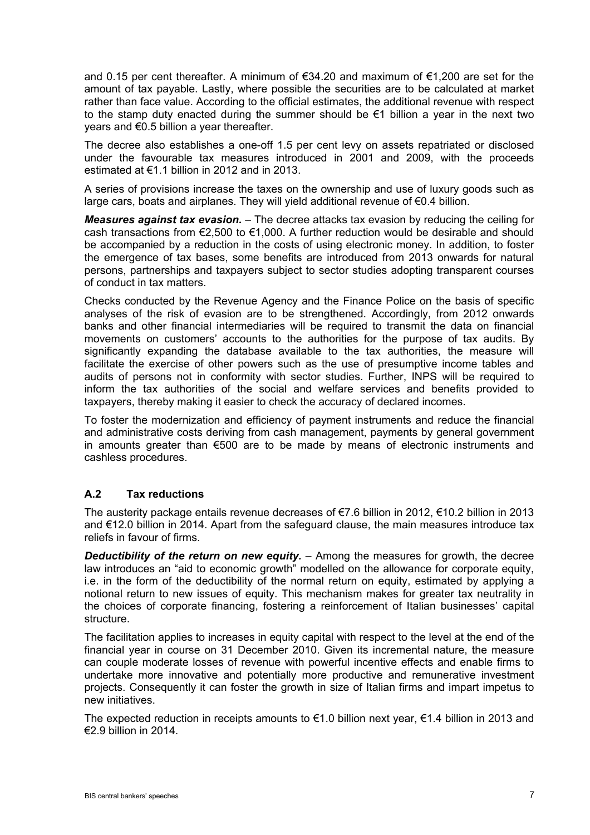and 0.15 per cent thereafter. A minimum of €34.20 and maximum of €1,200 are set for the amount of tax payable. Lastly, where possible the securities are to be calculated at market rather than face value. According to the official estimates, the additional revenue with respect to the stamp duty enacted during the summer should be €1 billion a year in the next two years and €0.5 billion a year thereafter.

The decree also establishes a one-off 1.5 per cent levy on assets repatriated or disclosed under the favourable tax measures introduced in 2001 and 2009, with the proceeds estimated at  $\epsilon$ 1.1 billion in 2012 and in 2013.

A series of provisions increase the taxes on the ownership and use of luxury goods such as large cars, boats and airplanes. They will yield additional revenue of  $\epsilon$ 0.4 billion.

*Measures against tax evasion.* – The decree attacks tax evasion by reducing the ceiling for cash transactions from €2,500 to €1,000. A further reduction would be desirable and should be accompanied by a reduction in the costs of using electronic money. In addition, to foster the emergence of tax bases, some benefits are introduced from 2013 onwards for natural persons, partnerships and taxpayers subject to sector studies adopting transparent courses of conduct in tax matters.

Checks conducted by the Revenue Agency and the Finance Police on the basis of specific analyses of the risk of evasion are to be strengthened. Accordingly, from 2012 onwards banks and other financial intermediaries will be required to transmit the data on financial movements on customers' accounts to the authorities for the purpose of tax audits. By significantly expanding the database available to the tax authorities, the measure will facilitate the exercise of other powers such as the use of presumptive income tables and audits of persons not in conformity with sector studies. Further, INPS will be required to inform the tax authorities of the social and welfare services and benefits provided to taxpayers, thereby making it easier to check the accuracy of declared incomes.

To foster the modernization and efficiency of payment instruments and reduce the financial and administrative costs deriving from cash management, payments by general government in amounts greater than €500 are to be made by means of electronic instruments and cashless procedures.

## **A.2 Tax reductions**

The austerity package entails revenue decreases of €7.6 billion in 2012, €10.2 billion in 2013 and €12.0 billion in 2014. Apart from the safeguard clause, the main measures introduce tax reliefs in favour of firms.

*Deductibility of the return on new equity.* – Among the measures for growth, the decree law introduces an "aid to economic growth" modelled on the allowance for corporate equity, i.e. in the form of the deductibility of the normal return on equity, estimated by applying a notional return to new issues of equity. This mechanism makes for greater tax neutrality in the choices of corporate financing, fostering a reinforcement of Italian businesses' capital structure.

The facilitation applies to increases in equity capital with respect to the level at the end of the financial year in course on 31 December 2010. Given its incremental nature, the measure can couple moderate losses of revenue with powerful incentive effects and enable firms to undertake more innovative and potentially more productive and remunerative investment projects. Consequently it can foster the growth in size of Italian firms and impart impetus to new initiatives.

The expected reduction in receipts amounts to  $\epsilon$ 1.0 billion next year,  $\epsilon$ 1.4 billion in 2013 and  $\epsilon$ 2.9 billion in 2014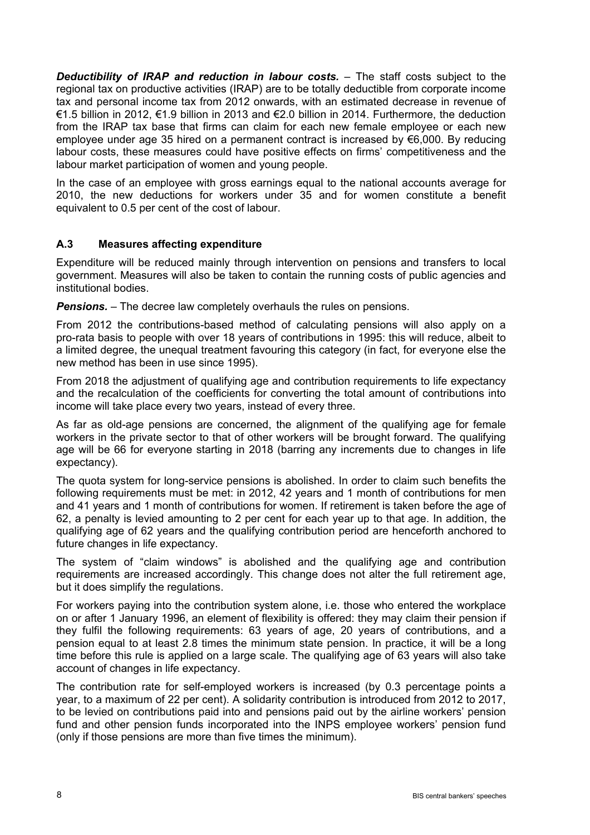*Deductibility of IRAP and reduction in labour costs.* – The staff costs subject to the regional tax on productive activities (IRAP) are to be totally deductible from corporate income tax and personal income tax from 2012 onwards, with an estimated decrease in revenue of €1.5 billion in 2012, €1.9 billion in 2013 and €2.0 billion in 2014. Furthermore, the deduction from the IRAP tax base that firms can claim for each new female employee or each new employee under age 35 hired on a permanent contract is increased by €6,000. By reducing labour costs, these measures could have positive effects on firms' competitiveness and the labour market participation of women and young people.

In the case of an employee with gross earnings equal to the national accounts average for 2010, the new deductions for workers under 35 and for women constitute a benefit equivalent to 0.5 per cent of the cost of labour.

## **A.3 Measures affecting expenditure**

Expenditure will be reduced mainly through intervention on pensions and transfers to local government. Measures will also be taken to contain the running costs of public agencies and institutional bodies.

*Pensions.* – The decree law completely overhauls the rules on pensions.

From 2012 the contributions-based method of calculating pensions will also apply on a pro-rata basis to people with over 18 years of contributions in 1995: this will reduce, albeit to a limited degree, the unequal treatment favouring this category (in fact, for everyone else the new method has been in use since 1995).

From 2018 the adjustment of qualifying age and contribution requirements to life expectancy and the recalculation of the coefficients for converting the total amount of contributions into income will take place every two years, instead of every three.

As far as old-age pensions are concerned, the alignment of the qualifying age for female workers in the private sector to that of other workers will be brought forward. The qualifying age will be 66 for everyone starting in 2018 (barring any increments due to changes in life expectancy).

The quota system for long-service pensions is abolished. In order to claim such benefits the following requirements must be met: in 2012, 42 years and 1 month of contributions for men and 41 years and 1 month of contributions for women. If retirement is taken before the age of 62, a penalty is levied amounting to 2 per cent for each year up to that age. In addition, the qualifying age of 62 years and the qualifying contribution period are henceforth anchored to future changes in life expectancy.

The system of "claim windows" is abolished and the qualifying age and contribution requirements are increased accordingly. This change does not alter the full retirement age, but it does simplify the regulations.

For workers paying into the contribution system alone, i.e. those who entered the workplace on or after 1 January 1996, an element of flexibility is offered: they may claim their pension if they fulfil the following requirements: 63 years of age, 20 years of contributions, and a pension equal to at least 2.8 times the minimum state pension. In practice, it will be a long time before this rule is applied on a large scale. The qualifying age of 63 years will also take account of changes in life expectancy.

The contribution rate for self-employed workers is increased (by 0.3 percentage points a year, to a maximum of 22 per cent). A solidarity contribution is introduced from 2012 to 2017, to be levied on contributions paid into and pensions paid out by the airline workers' pension fund and other pension funds incorporated into the INPS employee workers' pension fund (only if those pensions are more than five times the minimum).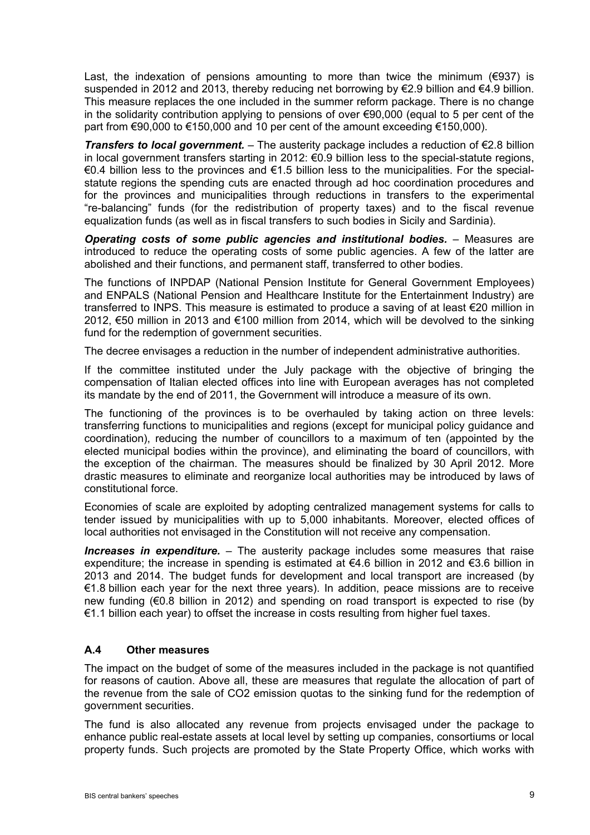Last, the indexation of pensions amounting to more than twice the minimum ( $\epsilon$ 937) is suspended in 2012 and 2013, thereby reducing net borrowing by  $\epsilon$ 2.9 billion and  $\epsilon$ 4.9 billion. This measure replaces the one included in the summer reform package. There is no change in the solidarity contribution applying to pensions of over €90,000 (equal to 5 per cent of the part from €90,000 to €150,000 and 10 per cent of the amount exceeding €150,000).

*Transfers to local government.* – The austerity package includes a reduction of €2.8 billion in local government transfers starting in 2012: €0.9 billion less to the special-statute regions, €0.4 billion less to the provinces and €1.5 billion less to the municipalities. For the specialstatute regions the spending cuts are enacted through ad hoc coordination procedures and for the provinces and municipalities through reductions in transfers to the experimental "re-balancing" funds (for the redistribution of property taxes) and to the fiscal revenue equalization funds (as well as in fiscal transfers to such bodies in Sicily and Sardinia).

*Operating costs of some public agencies and institutional bodies.* – Measures are introduced to reduce the operating costs of some public agencies. A few of the latter are abolished and their functions, and permanent staff, transferred to other bodies.

The functions of INPDAP (National Pension Institute for General Government Employees) and ENPALS (National Pension and Healthcare Institute for the Entertainment Industry) are transferred to INPS. This measure is estimated to produce a saving of at least €20 million in 2012, €50 million in 2013 and €100 million from 2014, which will be devolved to the sinking fund for the redemption of government securities.

The decree envisages a reduction in the number of independent administrative authorities.

If the committee instituted under the July package with the objective of bringing the compensation of Italian elected offices into line with European averages has not completed its mandate by the end of 2011, the Government will introduce a measure of its own.

The functioning of the provinces is to be overhauled by taking action on three levels: transferring functions to municipalities and regions (except for municipal policy guidance and coordination), reducing the number of councillors to a maximum of ten (appointed by the elected municipal bodies within the province), and eliminating the board of councillors, with the exception of the chairman. The measures should be finalized by 30 April 2012. More drastic measures to eliminate and reorganize local authorities may be introduced by laws of constitutional force.

Economies of scale are exploited by adopting centralized management systems for calls to tender issued by municipalities with up to 5,000 inhabitants. Moreover, elected offices of local authorities not envisaged in the Constitution will not receive any compensation.

*Increases in expenditure.* – The austerity package includes some measures that raise expenditure; the increase in spending is estimated at  $\epsilon$ 4.6 billion in 2012 and  $\epsilon$ 3.6 billion in 2013 and 2014. The budget funds for development and local transport are increased (by €1.8 billion each year for the next three years). In addition, peace missions are to receive new funding (€0.8 billion in 2012) and spending on road transport is expected to rise (by €1.1 billion each year) to offset the increase in costs resulting from higher fuel taxes.

#### **A.4 Other measures**

The impact on the budget of some of the measures included in the package is not quantified for reasons of caution. Above all, these are measures that regulate the allocation of part of the revenue from the sale of CO2 emission quotas to the sinking fund for the redemption of government securities.

The fund is also allocated any revenue from projects envisaged under the package to enhance public real-estate assets at local level by setting up companies, consortiums or local property funds. Such projects are promoted by the State Property Office, which works with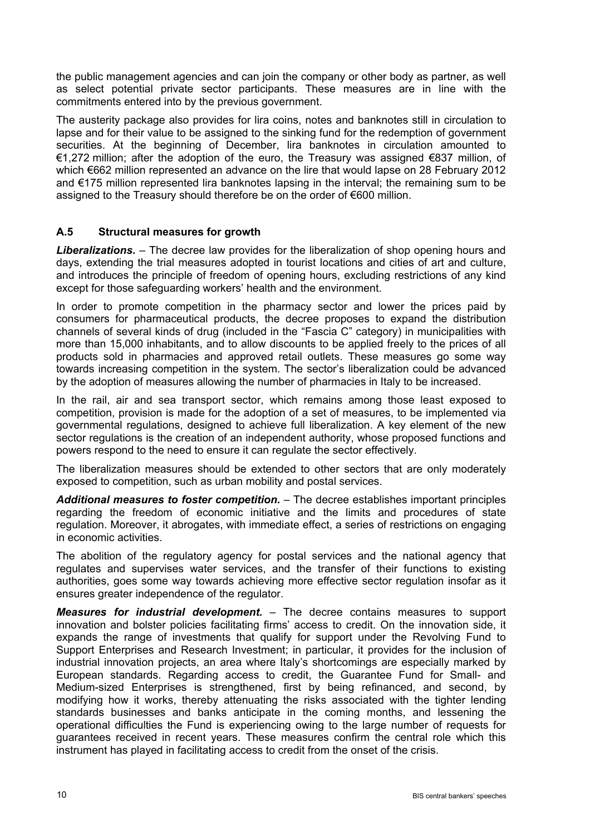the public management agencies and can join the company or other body as partner, as well as select potential private sector participants. These measures are in line with the commitments entered into by the previous government.

The austerity package also provides for lira coins, notes and banknotes still in circulation to lapse and for their value to be assigned to the sinking fund for the redemption of government securities. At the beginning of December, lira banknotes in circulation amounted to €1,272 million; after the adoption of the euro, the Treasury was assigned €837 million, of which €662 million represented an advance on the lire that would lapse on 28 February 2012 and €175 million represented lira banknotes lapsing in the interval; the remaining sum to be assigned to the Treasury should therefore be on the order of €600 million.

## **A.5 Structural measures for growth**

*Liberalizations.* – The decree law provides for the liberalization of shop opening hours and days, extending the trial measures adopted in tourist locations and cities of art and culture, and introduces the principle of freedom of opening hours, excluding restrictions of any kind except for those safeguarding workers' health and the environment.

In order to promote competition in the pharmacy sector and lower the prices paid by consumers for pharmaceutical products, the decree proposes to expand the distribution channels of several kinds of drug (included in the "Fascia C" category) in municipalities with more than 15,000 inhabitants, and to allow discounts to be applied freely to the prices of all products sold in pharmacies and approved retail outlets. These measures go some way towards increasing competition in the system. The sector's liberalization could be advanced by the adoption of measures allowing the number of pharmacies in Italy to be increased.

In the rail, air and sea transport sector, which remains among those least exposed to competition, provision is made for the adoption of a set of measures, to be implemented via governmental regulations, designed to achieve full liberalization. A key element of the new sector regulations is the creation of an independent authority, whose proposed functions and powers respond to the need to ensure it can regulate the sector effectively.

The liberalization measures should be extended to other sectors that are only moderately exposed to competition, such as urban mobility and postal services.

*Additional measures to foster competition.* – The decree establishes important principles regarding the freedom of economic initiative and the limits and procedures of state regulation. Moreover, it abrogates, with immediate effect, a series of restrictions on engaging in economic activities.

The abolition of the regulatory agency for postal services and the national agency that regulates and supervises water services, and the transfer of their functions to existing authorities, goes some way towards achieving more effective sector regulation insofar as it ensures greater independence of the regulator.

*Measures for industrial development.* – The decree contains measures to support innovation and bolster policies facilitating firms' access to credit. On the innovation side, it expands the range of investments that qualify for support under the Revolving Fund to Support Enterprises and Research Investment; in particular, it provides for the inclusion of industrial innovation projects, an area where Italy's shortcomings are especially marked by European standards. Regarding access to credit, the Guarantee Fund for Small- and Medium-sized Enterprises is strengthened, first by being refinanced, and second, by modifying how it works, thereby attenuating the risks associated with the tighter lending standards businesses and banks anticipate in the coming months, and lessening the operational difficulties the Fund is experiencing owing to the large number of requests for guarantees received in recent years. These measures confirm the central role which this instrument has played in facilitating access to credit from the onset of the crisis.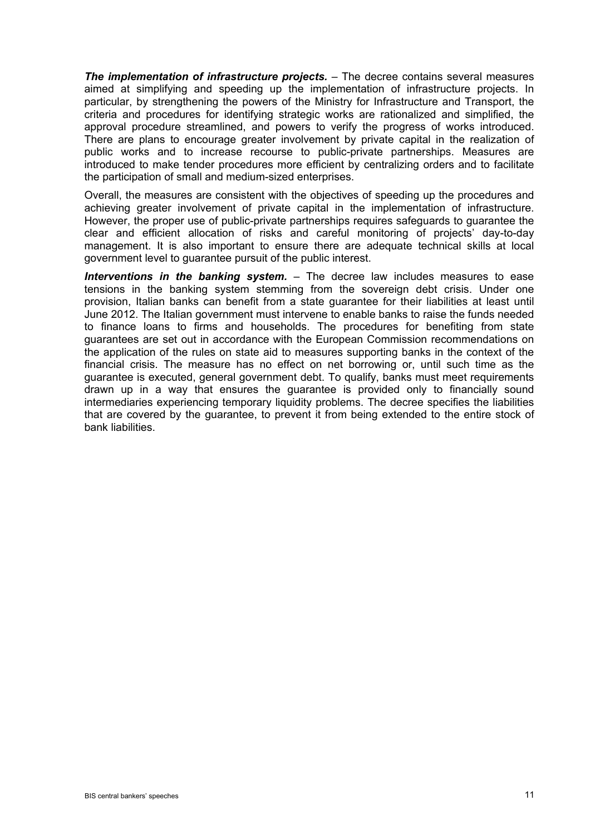*The implementation of infrastructure projects.* – The decree contains several measures aimed at simplifying and speeding up the implementation of infrastructure projects. In particular, by strengthening the powers of the Ministry for Infrastructure and Transport, the criteria and procedures for identifying strategic works are rationalized and simplified, the approval procedure streamlined, and powers to verify the progress of works introduced. There are plans to encourage greater involvement by private capital in the realization of public works and to increase recourse to public-private partnerships. Measures are introduced to make tender procedures more efficient by centralizing orders and to facilitate the participation of small and medium-sized enterprises.

Overall, the measures are consistent with the objectives of speeding up the procedures and achieving greater involvement of private capital in the implementation of infrastructure. However, the proper use of public-private partnerships requires safeguards to guarantee the clear and efficient allocation of risks and careful monitoring of projects' day-to-day management. It is also important to ensure there are adequate technical skills at local government level to guarantee pursuit of the public interest.

*Interventions in the banking system.* – The decree law includes measures to ease tensions in the banking system stemming from the sovereign debt crisis. Under one provision, Italian banks can benefit from a state guarantee for their liabilities at least until June 2012. The Italian government must intervene to enable banks to raise the funds needed to finance loans to firms and households. The procedures for benefiting from state guarantees are set out in accordance with the European Commission recommendations on the application of the rules on state aid to measures supporting banks in the context of the financial crisis. The measure has no effect on net borrowing or, until such time as the guarantee is executed, general government debt. To qualify, banks must meet requirements drawn up in a way that ensures the guarantee is provided only to financially sound intermediaries experiencing temporary liquidity problems. The decree specifies the liabilities that are covered by the guarantee, to prevent it from being extended to the entire stock of bank liabilities.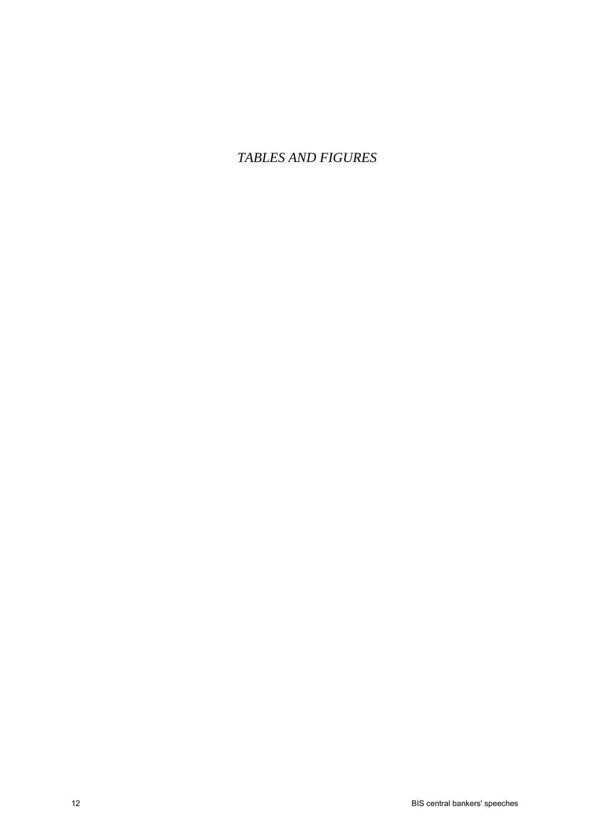*TABLES AND FIGURES*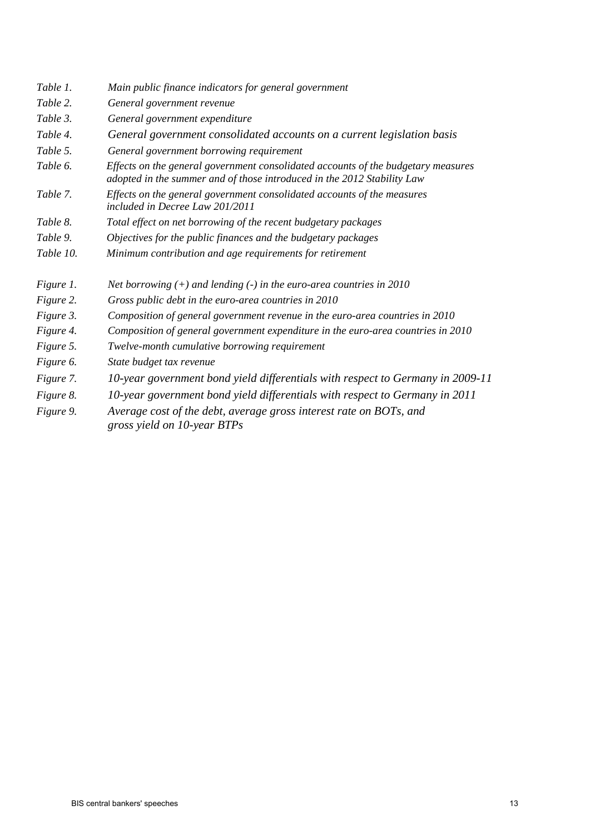- *Table 1. Main public finance indicators for general government*
- *Table 2. General government revenue*
- *Table 3. General government expenditure*
- *Table 4. General government consolidated accounts on a current legislation basis*
- *Table 5. General government borrowing requirement*
- *Table 6. Effects on the general government consolidated accounts of the budgetary measures adopted in the summer and of those introduced in the 2012 Stability Law*
- *Table 7. Effects on the general government consolidated accounts of the measures included in Decree Law 201/2011*
- *Table 8. Total effect on net borrowing of the recent budgetary packages*
- *Table 9. Objectives for the public finances and the budgetary packages*
- *Table 10. Minimum contribution and age requirements for retirement*
- *Figure 1. Net borrowing (+) and lending (-) in the euro-area countries in 2010*
- *Figure 2. Gross public debt in the euro-area countries in 2010*
- *Figure 3. Composition of general government revenue in the euro-area countries in 2010*
- *Figure 4. Composition of general government expenditure in the euro-area countries in 2010*
- *Figure 5. Twelve-month cumulative borrowing requirement*
- *Figure 6. State budget tax revenue*
- *Figure 7. 10-year government bond yield differentials with respect to Germany in 2009-11*
- *Figure 8. 10-year government bond yield differentials with respect to Germany in 2011*
- *Figure 9. Average cost of the debt, average gross interest rate on BOTs, and gross yield on 10-year BTPs*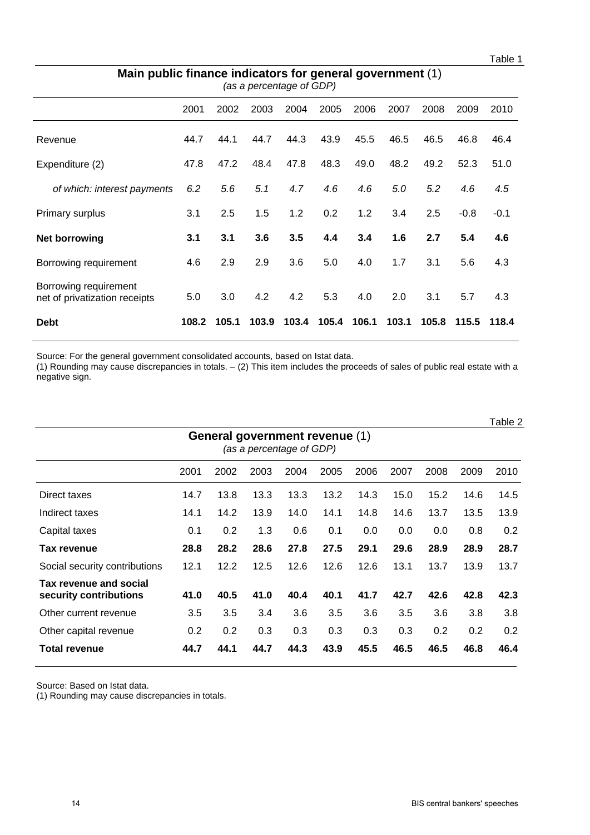Table 1

| Main public finance indicators for general government (1)<br>(as a percentage of GDP) |       |       |       |      |                   |      |       |       |        |        |
|---------------------------------------------------------------------------------------|-------|-------|-------|------|-------------------|------|-------|-------|--------|--------|
|                                                                                       | 2001  | 2002  | 2003  | 2004 | 2005              | 2006 | 2007  | 2008  | 2009   | 2010   |
| Revenue                                                                               | 44.7  | 44.1  | 44.7  | 44.3 | 43.9              | 45.5 | 46.5  | 46.5  | 46.8   | 46.4   |
| Expenditure (2)                                                                       | 47.8  | 47.2  | 48.4  | 47.8 | 48.3              | 49.0 | 48.2  | 49.2  | 52.3   | 51.0   |
| of which: interest payments                                                           | 6.2   | 5.6   | 5.1   | 4.7  | 4.6               | 4.6  | 5.0   | 5.2   | 4.6    | 4.5    |
| Primary surplus                                                                       | 3.1   | 2.5   | 1.5   | 1.2  | 0.2               | 1.2  | 3.4   | 2.5   | $-0.8$ | $-0.1$ |
| Net borrowing                                                                         | 3.1   | 3.1   | 3.6   | 3.5  | 4.4               | 3.4  | 1.6   | 2.7   | 5.4    | 4.6    |
| Borrowing requirement                                                                 | 4.6   | 2.9   | 2.9   | 3.6  | 5.0               | 4.0  | 1.7   | 3.1   | 5.6    | 4.3    |
| Borrowing requirement<br>net of privatization receipts                                | 5.0   | 3.0   | 4.2   | 4.2  | 5.3               | 4.0  | 2.0   | 3.1   | 5.7    | 4.3    |
| <b>Debt</b>                                                                           | 108.2 | 105.1 | 103.9 |      | 103.4 105.4 106.1 |      | 103.1 | 105.8 | 115.5  | 118.4  |

Source: For the general government consolidated accounts, based on Istat data.

(1) Rounding may cause discrepancies in totals. – (2) This item includes the proceeds of sales of public real estate with a negative sign.

|                                                            |      |      |      |      |      |      |      |      |      | Table 2 |  |
|------------------------------------------------------------|------|------|------|------|------|------|------|------|------|---------|--|
| General government revenue (1)<br>(as a percentage of GDP) |      |      |      |      |      |      |      |      |      |         |  |
|                                                            | 2001 | 2002 | 2003 | 2004 | 2005 | 2006 | 2007 | 2008 | 2009 | 2010    |  |
| Direct taxes                                               | 14.7 | 13.8 | 13.3 | 13.3 | 13.2 | 14.3 | 15.0 | 15.2 | 14.6 | 14.5    |  |
| Indirect taxes                                             | 14.1 | 14.2 | 13.9 | 14.0 | 14.1 | 14.8 | 14.6 | 13.7 | 13.5 | 13.9    |  |
| Capital taxes                                              | 0.1  | 0.2  | 1.3  | 0.6  | 0.1  | 0.0  | 0.0  | 0.0  | 0.8  | 0.2     |  |
| Tax revenue                                                | 28.8 | 28.2 | 28.6 | 27.8 | 27.5 | 29.1 | 29.6 | 28.9 | 28.9 | 28.7    |  |
| Social security contributions                              | 12.1 | 12.2 | 12.5 | 12.6 | 12.6 | 12.6 | 13.1 | 13.7 | 13.9 | 13.7    |  |
| Tax revenue and social<br>security contributions           | 41.0 | 40.5 | 41.0 | 40.4 | 40.1 | 41.7 | 42.7 | 42.6 | 42.8 | 42.3    |  |
| Other current revenue                                      | 3.5  | 3.5  | 3.4  | 3.6  | 3.5  | 3.6  | 3.5  | 3.6  | 3.8  | 3.8     |  |
| Other capital revenue                                      | 0.2  | 0.2  | 0.3  | 0.3  | 0.3  | 0.3  | 0.3  | 0.2  | 0.2  | 0.2     |  |
| <b>Total revenue</b>                                       | 44.7 | 44.1 | 44.7 | 44.3 | 43.9 | 45.5 | 46.5 | 46.5 | 46.8 | 46.4    |  |

Source: Based on Istat data.

(1) Rounding may cause discrepancies in totals.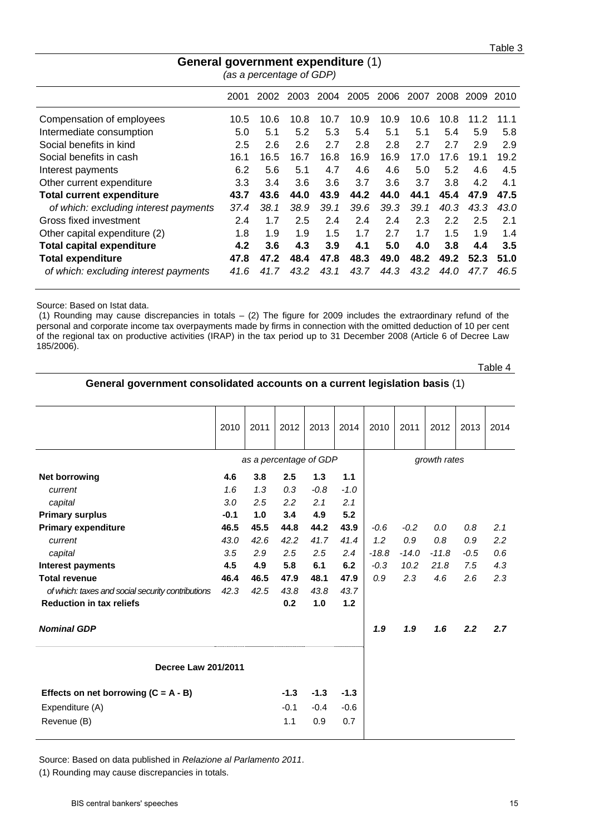|                                       | ັ    | (as a percentage of GDP) |      |      |      |      |      |           |      |      |
|---------------------------------------|------|--------------------------|------|------|------|------|------|-----------|------|------|
|                                       | 2001 | 2002                     | 2003 | 2004 | 2005 | 2006 | 2007 | 2008 2009 |      | 2010 |
| Compensation of employees             | 10.5 | 10.6                     | 10.8 | 10.7 | 10.9 | 10.9 | 10.6 | 10.8      | 11.2 | 11.1 |
| Intermediate consumption              | 5.0  | 5.1                      | 5.2  | 5.3  | 5.4  | 5.1  | 5.1  | 5.4       | 5.9  | 5.8  |
| Social benefits in kind               | 2.5  | 2.6                      | 2.6  | 2.7  | 2.8  | 2.8  | 2.7  | 2.7       | 2.9  | 2.9  |
| Social benefits in cash               | 16.1 | 16.5                     | 16.7 | 16.8 | 16.9 | 16.9 | 17.0 | 17.6      | 19.1 | 19.2 |
| Interest payments                     | 6.2  | 5.6                      | 5.1  | 4.7  | 4.6  | 4.6  | 5.0  | 5.2       | 4.6  | 4.5  |
| Other current expenditure             | 3.3  | 3.4                      | 3.6  | 3.6  | 3.7  | 3.6  | 3.7  | 3.8       | 4.2  | 4.1  |
| <b>Total current expenditure</b>      | 43.7 | 43.6                     | 44.0 | 43.9 | 44.2 | 44.0 | 44.1 | 45.4      | 47.9 | 47.5 |
| of which: excluding interest payments | 37.4 | 38.1                     | 38.9 | 39.1 | 39.6 | 39.3 | 39.1 | 40.3      | 43.3 | 43.0 |
| Gross fixed investment                | 2.4  | 1.7                      | 2.5  | 2.4  | 2.4  | 2.4  | 2.3  | 2.2       | 2.5  | 2.1  |
| Other capital expenditure (2)         | 1.8  | 1.9                      | 1.9  | 1.5  | 1.7  | 2.7  | 1.7  | 1.5       | 1.9  | 1.4  |
| <b>Total capital expenditure</b>      | 4.2  | 3.6                      | 4.3  | 3.9  | 4.1  | 5.0  | 4.0  | 3.8       | 4.4  | 3.5  |
| <b>Total expenditure</b>              | 47.8 | 47.2                     | 48.4 | 47.8 | 48.3 | 49.0 | 48.2 | 49.2      | 52.3 | 51.0 |
| of which: excluding interest payments | 41.6 | 41.7                     | 43.2 | 43.1 | 43.7 | 44.3 | 43.2 | 44.0      | 47.7 | 46.5 |

# **General government expenditure** (1)

Source: Based on Istat data.

 (1) Rounding may cause discrepancies in totals – (2) The figure for 2009 includes the extraordinary refund of the personal and corporate income tax overpayments made by firms in connection with the omitted deduction of 10 per cent of the regional tax on productive activities (IRAP) in the tax period up to 31 December 2008 (Article 6 of Decree Law 185/2006).

Table 4

#### **General government consolidated accounts on a current legislation basis** (1)

|                                                   | 2010   | 2011 | 2012                   | 2013   | 2014   | 2010    | 2011    | 2012         | 2013   | 2014 |
|---------------------------------------------------|--------|------|------------------------|--------|--------|---------|---------|--------------|--------|------|
|                                                   |        |      | as a percentage of GDP |        |        |         |         | growth rates |        |      |
| <b>Net borrowing</b>                              | 4.6    | 3.8  | 2.5                    | 1.3    | 1.1    |         |         |              |        |      |
| current                                           | 1.6    | 1.3  | 0.3                    | $-0.8$ | $-1.0$ |         |         |              |        |      |
| capital                                           | 3.0    | 2.5  | 2.2                    | 2.1    | 2.1    |         |         |              |        |      |
| <b>Primary surplus</b>                            | $-0.1$ | 1.0  | 3.4                    | 4.9    | 5.2    |         |         |              |        |      |
| <b>Primary expenditure</b>                        | 46.5   | 45.5 | 44.8                   | 44.2   | 43.9   | $-0.6$  | $-0.2$  | 0.0          | 0.8    | 2.1  |
| current                                           | 43.0   | 42.6 | 42.2                   | 41.7   | 41.4   | 1.2     | 0.9     | 0.8          | 0.9    | 2.2  |
| capital                                           | 3.5    | 2.9  | 2.5                    | 2.5    | 2.4    | $-18.8$ | $-14.0$ | $-11.8$      | $-0.5$ | 0.6  |
| <b>Interest payments</b>                          | 4.5    | 4.9  | 5.8                    | 6.1    | 6.2    | $-0.3$  | 10.2    | 21.8         | 7.5    | 4.3  |
| <b>Total revenue</b>                              | 46.4   | 46.5 | 47.9                   | 48.1   | 47.9   | 0.9     | 2.3     | 4.6          | 2.6    | 2.3  |
| of which: taxes and social security contributions | 42.3   | 42.5 | 43.8                   | 43.8   | 43.7   |         |         |              |        |      |
| <b>Reduction in tax reliefs</b>                   |        |      | 0.2                    | 1.0    | 1.2    |         |         |              |        |      |
| <b>Nominal GDP</b>                                |        |      |                        |        |        | 1.9     | 1.9     | 1.6          | 2.2    | 2.7  |
| Decree Law 201/2011                               |        |      |                        |        |        |         |         |              |        |      |
| Effects on net borrowing $(C = A - B)$            |        |      | $-1.3$                 | $-1.3$ | $-1.3$ |         |         |              |        |      |
| Expenditure (A)                                   |        |      | $-0.1$                 | $-0.4$ | $-0.6$ |         |         |              |        |      |
| Revenue (B)                                       |        |      | 1.1                    | 0.9    | 0.7    |         |         |              |        |      |

Source: Based on data published in *Relazione al Parlamento 2011*.

(1) Rounding may cause discrepancies in totals.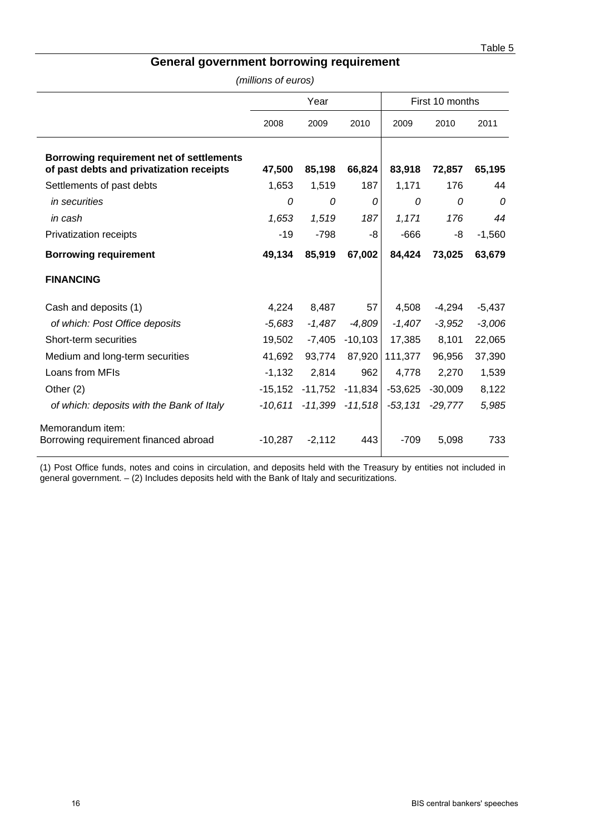## **General government borrowing requirement**

*(millions of euros)*

|                                                                                      |           | Year     |                     | First 10 months |           |          |  |
|--------------------------------------------------------------------------------------|-----------|----------|---------------------|-----------------|-----------|----------|--|
|                                                                                      |           |          |                     |                 |           |          |  |
|                                                                                      | 2008      | 2009     | 2010                | 2009            | 2010      | 2011     |  |
| Borrowing requirement net of settlements<br>of past debts and privatization receipts | 47,500    | 85,198   | 66,824              | 83,918          | 72,857    | 65,195   |  |
| Settlements of past debts                                                            | 1,653     | 1,519    | 187                 | 1,171           | 176       | 44       |  |
| in securities                                                                        | $\Omega$  | 0        | 0                   | 0               | $\Omega$  | $\Omega$ |  |
| in cash                                                                              | 1,653     | 1,519    | 187                 | 1,171           | 176       | 44       |  |
| Privatization receipts                                                               | $-19$     | $-798$   | -8                  | $-666$          | -8        | $-1,560$ |  |
| <b>Borrowing requirement</b>                                                         | 49,134    | 85,919   | 67,002              | 84,424          | 73,025    | 63,679   |  |
| <b>FINANCING</b>                                                                     |           |          |                     |                 |           |          |  |
| Cash and deposits (1)                                                                | 4,224     | 8,487    | 57                  | 4,508           | $-4,294$  | $-5,437$ |  |
| of which: Post Office deposits                                                       | $-5,683$  | $-1,487$ | $-4,809$            | $-1,407$        | $-3,952$  | $-3,006$ |  |
| Short-term securities                                                                | 19,502    |          | $-7,405$ $-10,103$  | 17,385          | 8,101     | 22,065   |  |
| Medium and long-term securities                                                      | 41,692    | 93,774   | 87,920              | 111,377         | 96,956    | 37,390   |  |
| Loans from MFIs                                                                      | $-1,132$  | 2,814    | 962                 | 4,778           | 2,270     | 1,539    |  |
| Other $(2)$                                                                          | $-15,152$ |          | $-11,752$ $-11,834$ | $-53,625$       | $-30,009$ | 8,122    |  |
| of which: deposits with the Bank of Italy                                            | -10.611   |          | $-11,399$ $-11,518$ | $-53,131$       | $-29,777$ | 5,985    |  |
| Memorandum item:<br>Borrowing requirement financed abroad                            | $-10,287$ | $-2,112$ | 443                 | $-709$          | 5,098     | 733      |  |

(1) Post Office funds, notes and coins in circulation, and deposits held with the Treasury by entities not included in general government. – (2) Includes deposits held with the Bank of Italy and securitizations.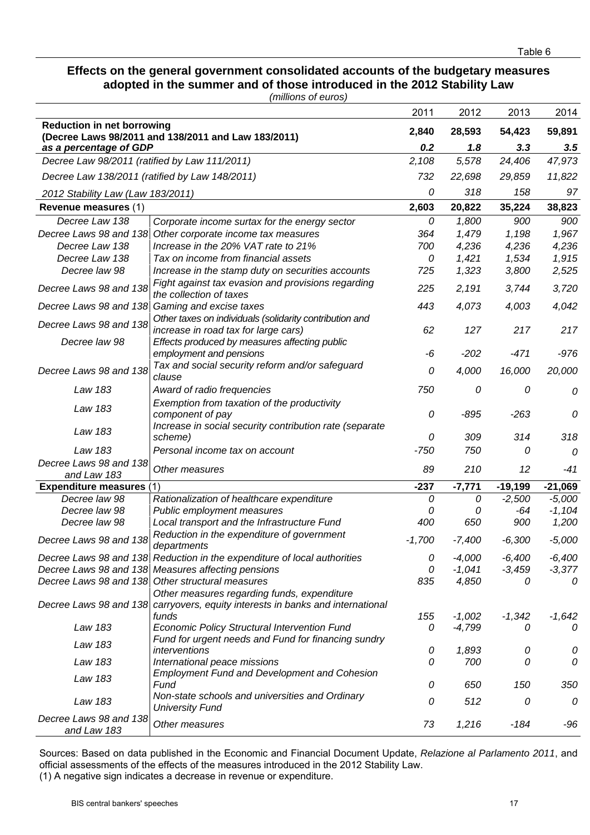#### **Effects on the general government consolidated accounts of the budgetary measures adopted in the summer and of those introduced in the 2012 Stability Law**  *(millions of euros)*

|                                                |                                                                                                 | 2011     | 2012     | 2013      | 2014      |
|------------------------------------------------|-------------------------------------------------------------------------------------------------|----------|----------|-----------|-----------|
| <b>Reduction in net borrowing</b>              |                                                                                                 | 2,840    | 28,593   | 54,423    | 59,891    |
| as a percentage of GDP                         | (Decree Laws 98/2011 and 138/2011 and Law 183/2011)                                             | 0.2      | 1.8      | 3.3       | 3.5       |
| Decree Law 98/2011 (ratified by Law 111/2011)  |                                                                                                 | 2,108    | 5,578    | 24,406    | 47,973    |
| Decree Law 138/2011 (ratified by Law 148/2011) |                                                                                                 | 732      | 22,698   | 29,859    | 11,822    |
| 2012 Stability Law (Law 183/2011)              |                                                                                                 | 0        | 318      | 158       | 97        |
| Revenue measures (1)                           |                                                                                                 | 2,603    | 20,822   | 35,224    | 38,823    |
| Decree Law 138                                 | Corporate income surtax for the energy sector                                                   | 0        | 1,800    | 900       | 900       |
| Decree Laws 98 and 138                         | Other corporate income tax measures                                                             | 364      | 1,479    | 1,198     | 1,967     |
| Decree Law 138                                 | Increase in the 20% VAT rate to 21%                                                             | 700      | 4,236    | 4,236     | 4,236     |
| Decree Law 138                                 | Tax on income from financial assets                                                             | 0        | 1,421    | 1,534     | 1,915     |
| Decree law 98                                  | Increase in the stamp duty on securities accounts                                               | 725      | 1,323    | 3,800     | 2,525     |
|                                                | Fight against tax evasion and provisions regarding                                              |          |          |           |           |
| Decree Laws 98 and 138                         | the collection of taxes                                                                         | 225      | 2,191    | 3,744     | 3,720     |
|                                                | Decree Laws 98 and 138 Gaming and excise taxes                                                  | 443      | 4,073    | 4,003     | 4,042     |
| Decree Laws 98 and 138                         | Other taxes on individuals (solidarity contribution and<br>increase in road tax for large cars) | 62       | 127      | 217       | 217       |
| Decree law 98                                  | Effects produced by measures affecting public<br>employment and pensions                        | -6       | $-202$   | $-471$    | $-976$    |
|                                                | Tax and social security reform and/or safeguard                                                 |          |          |           |           |
| Decree Laws 98 and 138                         | clause                                                                                          | 0        | 4,000    | 16,000    | 20,000    |
| Law 183                                        | Award of radio frequencies                                                                      | 750      | 0        | 0         | 0         |
| Law 183                                        | Exemption from taxation of the productivity<br>component of pay                                 | 0        | $-895$   | $-263$    | 0         |
| Law 183                                        | Increase in social security contribution rate (separate<br>scheme)                              | 0        | 309      | 314       | 318       |
| Law 183                                        | Personal income tax on account                                                                  | $-750$   | 750      | 0         | $\theta$  |
| Decree Laws 98 and 138                         |                                                                                                 |          |          |           |           |
| and Law 183                                    | Other measures                                                                                  | 89       | 210      | 12        | $-41$     |
| <b>Expenditure measures (1</b>                 |                                                                                                 | $-237$   | $-7,771$ | $-19,199$ | $-21,069$ |
| Decree law 98                                  | Rationalization of healthcare expenditure                                                       | 0        | 0        | $-2,500$  | $-5,000$  |
| Decree law 98                                  | Public employment measures                                                                      | 0        | 0        | -64       | $-1,104$  |
| Decree law 98                                  | Local transport and the Infrastructure Fund                                                     | 400      | 650      | 900       | 1,200     |
| Decree Laws 98 and 138                         | Reduction in the expenditure of government<br>departments                                       | $-1,700$ | $-7,400$ | $-6,300$  | $-5,000$  |
|                                                | Decree Laws 98 and 138 Reduction in the expenditure of local authorities                        | 0        | $-4,000$ | $-6,400$  | $-6,400$  |
|                                                | Decree Laws 98 and 138 Measures affecting pensions                                              | 0        | $-1,041$ | $-3,459$  | $-3,377$  |
|                                                | Decree Laws 98 and 138 Other structural measures                                                | 835      | 4,850    | 0         | 0         |
|                                                | Other measures regarding funds, expenditure                                                     |          |          |           |           |
|                                                | Decree Laws 98 and 138 carryovers, equity interests in banks and international                  |          |          |           |           |
|                                                | funds                                                                                           | 155      | $-1,002$ | $-1,342$  | $-1,642$  |
| Law 183                                        | <b>Economic Policy Structural Intervention Fund</b>                                             | 0        | $-4,799$ | 0         | 0         |
| Law 183                                        | Fund for urgent needs and Fund for financing sundry<br>interventions                            | 0        | 1,893    | 0         | 0         |
| Law 183                                        | International peace missions                                                                    | 0        | 700      | 0         | 0         |
| Law 183                                        | <b>Employment Fund and Development and Cohesion</b><br>Fund                                     | 0        | 650      | 150       | 350       |
| Law 183                                        | Non-state schools and universities and Ordinary                                                 | 0        | 512      | 0         | 0         |
| Decree Laws 98 and 138                         | <b>University Fund</b>                                                                          |          |          |           |           |
| and Law 183                                    | Other measures                                                                                  | 73       | 1,216    | $-184$    | -96       |

Sources: Based on data published in the Economic and Financial Document Update, *Relazione al Parlamento 2011*, and official assessments of the effects of the measures introduced in the 2012 Stability Law. (1) A negative sign indicates a decrease in revenue or expenditure.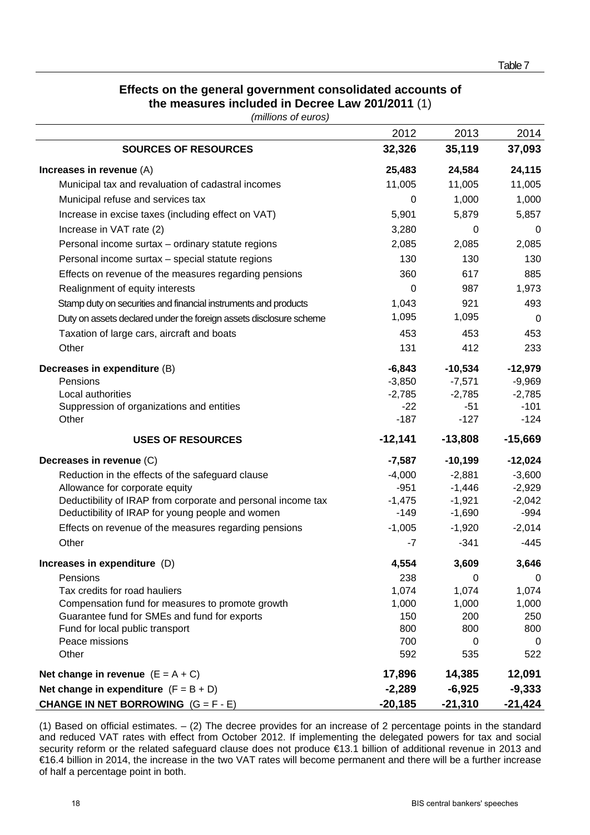## **Effects on the general government consolidated accounts of the measures included in Decree Law 201/2011** (1)

*(millions of euros)* 

|                                                                    | 2012       | 2013      | 2014            |
|--------------------------------------------------------------------|------------|-----------|-----------------|
| <b>SOURCES OF RESOURCES</b>                                        | 32,326     | 35,119    | 37,093          |
| Increases in revenue (A)                                           | 25,483     | 24,584    | 24,115          |
| Municipal tax and revaluation of cadastral incomes                 | 11,005     | 11,005    | 11,005          |
| Municipal refuse and services tax                                  | 0          | 1,000     | 1,000           |
| Increase in excise taxes (including effect on VAT)                 | 5,901      | 5,879     | 5,857           |
| Increase in VAT rate (2)                                           | 3,280      | 0         | 0               |
| Personal income surtax - ordinary statute regions                  | 2,085      | 2,085     | 2,085           |
| Personal income surtax - special statute regions                   | 130        | 130       | 130             |
| Effects on revenue of the measures regarding pensions              | 360        | 617       | 885             |
| Realignment of equity interests                                    | 0          | 987       | 1,973           |
| Stamp duty on securities and financial instruments and products    | 1,043      | 921       | 493             |
| Duty on assets declared under the foreign assets disclosure scheme | 1,095      | 1,095     | $\mathbf 0$     |
| Taxation of large cars, aircraft and boats                         | 453        | 453       | 453             |
| Other                                                              | 131        | 412       | 233             |
| Decreases in expenditure (B)                                       | $-6,843$   | $-10,534$ | $-12,979$       |
| Pensions                                                           | $-3,850$   | $-7,571$  | $-9,969$        |
| Local authorities                                                  | $-2,785$   | $-2,785$  | $-2,785$        |
| Suppression of organizations and entities                          | $-22$      | $-51$     | $-101$          |
| Other                                                              | $-187$     | $-127$    | $-124$          |
| <b>USES OF RESOURCES</b>                                           | $-12,141$  | $-13,808$ | $-15,669$       |
| Decreases in revenue (C)                                           | $-7,587$   | $-10,199$ | $-12,024$       |
| Reduction in the effects of the safeguard clause                   | $-4,000$   | $-2,881$  | $-3,600$        |
| Allowance for corporate equity                                     | $-951$     | $-1,446$  | $-2,929$        |
| Deductibility of IRAP from corporate and personal income tax       | $-1,475$   | $-1,921$  | $-2,042$        |
| Deductibility of IRAP for young people and women                   | $-149$     | $-1,690$  | $-994$          |
| Effects on revenue of the measures regarding pensions              | $-1,005$   | $-1,920$  | $-2,014$        |
| Other                                                              | $-7$       | $-341$    | $-445$          |
| Increases in expenditure (D)                                       | 4,554      | 3,609     | 3,646           |
| Pensions                                                           | 238        | 0         | $\mathbf 0$     |
| Tax credits for road hauliers                                      | 1,074      | 1,074     | 1,074           |
| Compensation fund for measures to promote growth                   | 1,000      | 1,000     | 1,000           |
| Guarantee fund for SMEs and fund for exports                       | 150        | 200       | 250             |
| Fund for local public transport                                    | 800        | 800       | 800             |
| Peace missions<br>Other                                            | 700<br>592 | 0<br>535  | $\Omega$<br>522 |
|                                                                    |            |           |                 |
| Net change in revenue $(E = A + C)$                                | 17,896     | 14,385    | 12,091          |
| Net change in expenditure $(F = B + D)$                            | $-2,289$   | $-6,925$  | $-9,333$        |
| <b>CHANGE IN NET BORROWING</b> $(G = F - E)$                       | $-20,185$  | $-21,310$ | $-21,424$       |

(1) Based on official estimates. – (2) The decree provides for an increase of 2 percentage points in the standard and reduced VAT rates with effect from October 2012. If implementing the delegated powers for tax and social security reform or the related safeguard clause does not produce €13.1 billion of additional revenue in 2013 and €16.4 billion in 2014, the increase in the two VAT rates will become permanent and there will be a further increase of half a percentage point in both.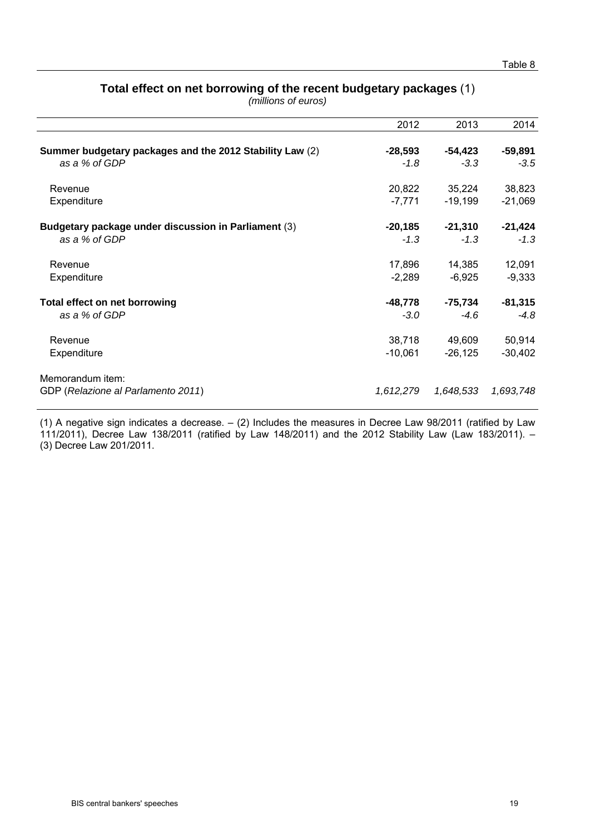## **Total effect on net borrowing of the recent budgetary packages** (1)

*(millions of euros)*

| 2012      | 2013      | 2014      |
|-----------|-----------|-----------|
|           |           |           |
| $-28,593$ | $-54,423$ | $-59,891$ |
| $-1.8$    | $-3.3$    | $-3.5$    |
| 20,822    | 35,224    | 38,823    |
| $-7,771$  | $-19,199$ | $-21,069$ |
| $-20,185$ | $-21,310$ | $-21,424$ |
| $-1.3$    | $-1.3$    | $-1.3$    |
| 17,896    | 14,385    | 12,091    |
| $-2,289$  | $-6,925$  | $-9,333$  |
| -48,778   | -75,734   | $-81,315$ |
| $-3.0$    | $-4.6$    | $-4.8$    |
| 38,718    | 49,609    | 50,914    |
| $-10,061$ | $-26,125$ | $-30,402$ |
|           |           |           |
| 1,612,279 | 1,648,533 | 1,693,748 |
|           |           |           |

(1) A negative sign indicates a decrease. – (2) Includes the measures in Decree Law 98/2011 (ratified by Law 111/2011), Decree Law 138/2011 (ratified by Law 148/2011) and the 2012 Stability Law (Law 183/2011). – (3) Decree Law 201/2011.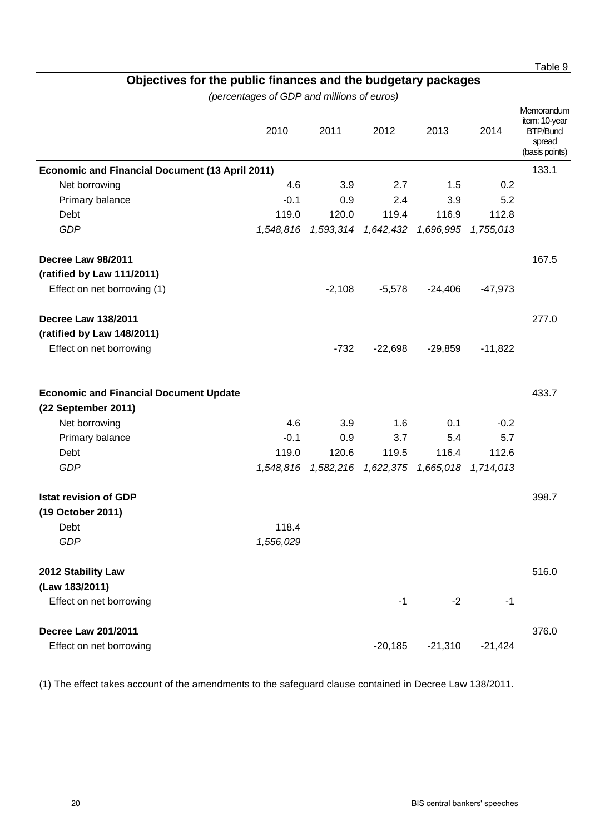the state of the state of the state of the state of the state of the state of the state of the state of the st

## **Objectives for the public finances and the budgetary packages**

*(percentages of GDP and millions of euros)* 

|                                                                      | 2010      | 2011      | 2012                | 2013      | 2014      | Memorandum<br>item: 10-year<br><b>BTP/Bund</b><br>spread<br>(basis points) |
|----------------------------------------------------------------------|-----------|-----------|---------------------|-----------|-----------|----------------------------------------------------------------------------|
| <b>Economic and Financial Document (13 April 2011)</b>               |           |           |                     |           |           | 133.1                                                                      |
| Net borrowing                                                        | 4.6       | 3.9       | 2.7                 | 1.5       | 0.2       |                                                                            |
| Primary balance                                                      | $-0.1$    | 0.9       | 2.4                 | 3.9       | 5.2       |                                                                            |
| Debt                                                                 | 119.0     | 120.0     | 119.4               | 116.9     | 112.8     |                                                                            |
| <b>GDP</b>                                                           | 1,548,816 |           |                     | 1,696,995 | 1,755,013 |                                                                            |
| Decree Law 98/2011                                                   |           |           |                     |           |           | 167.5                                                                      |
| (ratified by Law 111/2011)                                           |           |           |                     |           |           |                                                                            |
| Effect on net borrowing (1)                                          |           | $-2,108$  | $-5,578$            | $-24,406$ | $-47,973$ |                                                                            |
| <b>Decree Law 138/2011</b>                                           |           |           |                     |           |           | 277.0                                                                      |
| (ratified by Law 148/2011)                                           |           |           |                     |           |           |                                                                            |
| Effect on net borrowing                                              |           | $-732$    | $-22,698$           | $-29,859$ | $-11,822$ |                                                                            |
| <b>Economic and Financial Document Update</b><br>(22 September 2011) |           |           |                     |           |           | 433.7                                                                      |
| Net borrowing                                                        | 4.6       | 3.9       | 1.6                 | 0.1       | $-0.2$    |                                                                            |
| Primary balance                                                      | $-0.1$    | 0.9       | 3.7                 | 5.4       | 5.7       |                                                                            |
| Debt                                                                 | 119.0     | 120.6     | 119.5               | 116.4     | 112.6     |                                                                            |
| <b>GDP</b>                                                           | 1,548,816 | 1,582,216 | 1,622,375 1,665,018 |           | 1,714,013 |                                                                            |
| <b>Istat revision of GDP</b>                                         |           |           |                     |           |           | 398.7                                                                      |
| (19 October 2011)                                                    |           |           |                     |           |           |                                                                            |
| Debt                                                                 | 118.4     |           |                     |           |           |                                                                            |
| <b>GDP</b>                                                           | 1,556,029 |           |                     |           |           |                                                                            |
| 2012 Stability Law<br>(Law 183/2011)                                 |           |           |                     |           |           | 516.0                                                                      |
| Effect on net borrowing                                              |           |           | $-1$                | $-2$      | $-1$      |                                                                            |
| <b>Decree Law 201/2011</b>                                           |           |           |                     |           |           | 376.0                                                                      |
| Effect on net borrowing                                              |           |           | $-20,185$           | $-21,310$ | $-21,424$ |                                                                            |

(1) The effect takes account of the amendments to the safeguard clause contained in Decree Law 138/2011.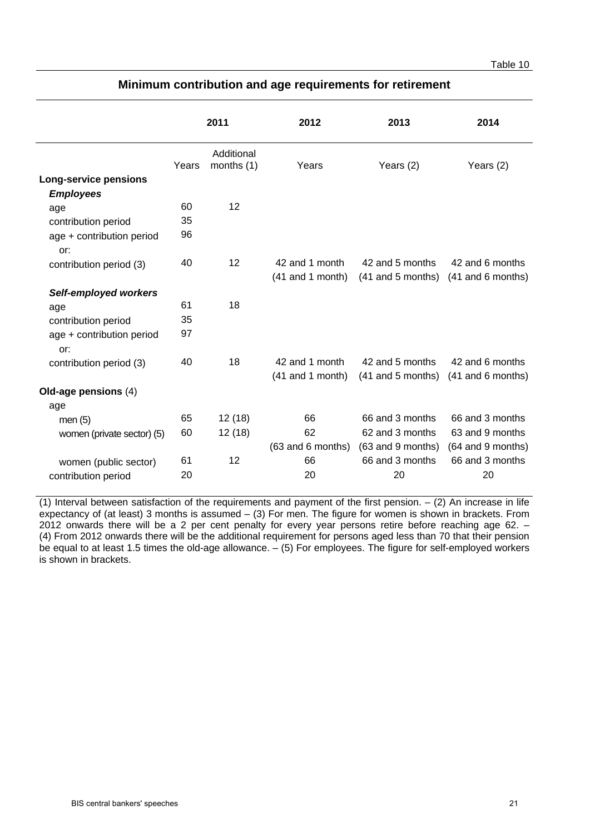#### Table 10 and the contract of the contract of the contract of the contract of the contract of the contract of the contract of the contract of the contract of the contract of the contract of the contract of the contract of t

|       | 2011                     | 2012               | 2013              | 2014                                                                                                  |
|-------|--------------------------|--------------------|-------------------|-------------------------------------------------------------------------------------------------------|
| Years | Additional<br>months (1) | Years              | Years (2)         | Years (2)                                                                                             |
|       |                          |                    |                   |                                                                                                       |
|       |                          |                    |                   |                                                                                                       |
| 60    | 12                       |                    |                   |                                                                                                       |
| 35    |                          |                    |                   |                                                                                                       |
| 96    |                          |                    |                   |                                                                                                       |
| 40    | 12                       | 42 and 1 month     | 42 and 5 months   | 42 and 6 months                                                                                       |
|       |                          | $(41$ and 1 month) |                   |                                                                                                       |
|       |                          |                    |                   |                                                                                                       |
| 61    | 18                       |                    |                   |                                                                                                       |
| 35    |                          |                    |                   |                                                                                                       |
| 97    |                          |                    |                   |                                                                                                       |
| 40    | 18                       | 42 and 1 month     | 42 and 5 months   | 42 and 6 months                                                                                       |
|       |                          |                    |                   | (41 and 6 months)                                                                                     |
|       |                          |                    |                   |                                                                                                       |
|       |                          |                    |                   |                                                                                                       |
| 65    | 12(18)                   | 66                 | 66 and 3 months   | 66 and 3 months                                                                                       |
| 60    | 12(18)                   | 62                 | 62 and 3 months   | 63 and 9 months                                                                                       |
|       |                          |                    | (63 and 9 months) | (64 and 9 months)                                                                                     |
| 61    | 12                       | 66                 | 66 and 3 months   | 66 and 3 months                                                                                       |
| 20    |                          | 20                 | 20                | 20                                                                                                    |
|       |                          |                    |                   | (41 and 5 months) (41 and 6 months)<br>$(41$ and 1 month)<br>$(41$ and 5 months)<br>(63 and 6 months) |

## **Minimum contribution and age requirements for retirement**

(1) Interval between satisfaction of the requirements and payment of the first pension.  $-$  (2) An increase in life expectancy of (at least) 3 months is assumed – (3) For men. The figure for women is shown in brackets. From 2012 onwards there will be a 2 per cent penalty for every year persons retire before reaching age 62. – (4) From 2012 onwards there will be the additional requirement for persons aged less than 70 that their pension be equal to at least 1.5 times the old-age allowance. – (5) For employees. The figure for self-employed workers is shown in brackets.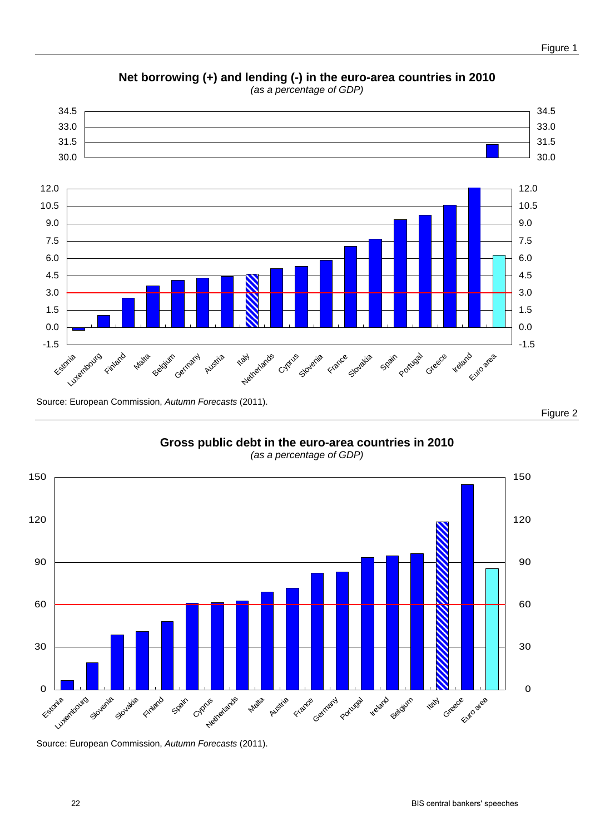

**Net borrowing (+) and lending (-) in the euro-area countries in 2010**  *(as a percentage of GDP)*

**Gross public debt in the euro-area countries in 2010**  *(as a percentage of GDP)*



Source: European Commission, *Autumn Forecasts* (2011).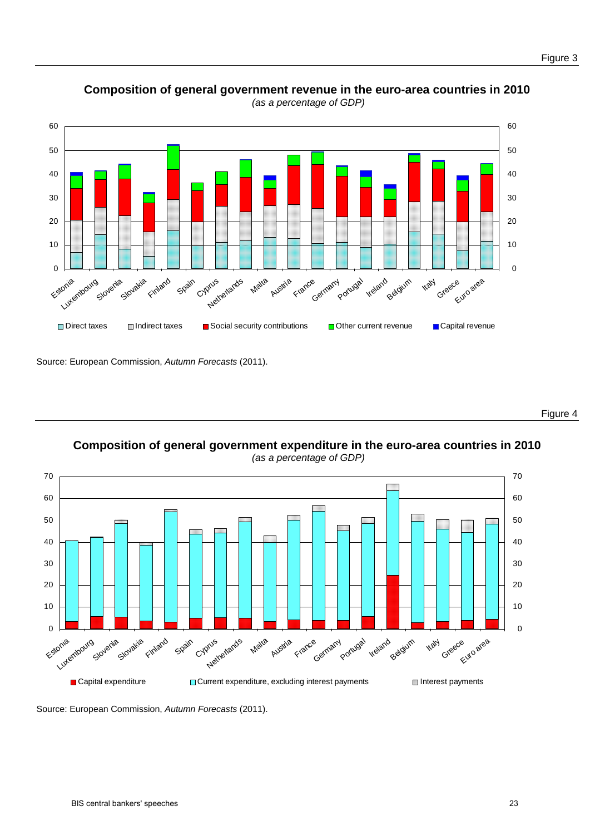

**Composition of general government revenue in the euro-area countries in 2010**   *(as a percentage of GDP)* 

Source: European Commission, *Autumn Forecasts* (2011).

Figure 4

**Composition of general government expenditure in the euro-area countries in 2010**   *(as a percentage of GDP)* 



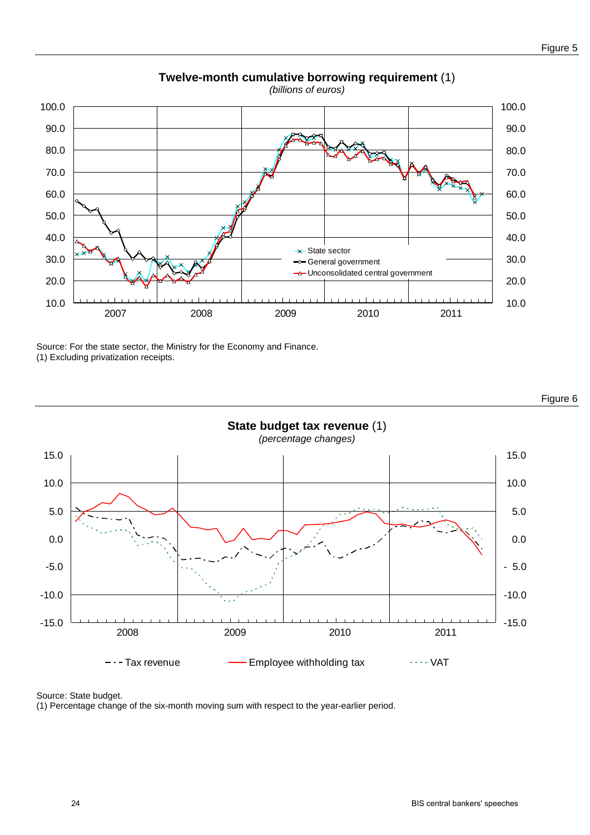

## **Twelve-month cumulative borrowing requirement** (1)

Source: For the state sector, the Ministry for the Economy and Finance. (1) Excluding privatization receipts.



Figure 6

Source: State budget.

(1) Percentage change of the six-month moving sum with respect to the year-earlier period.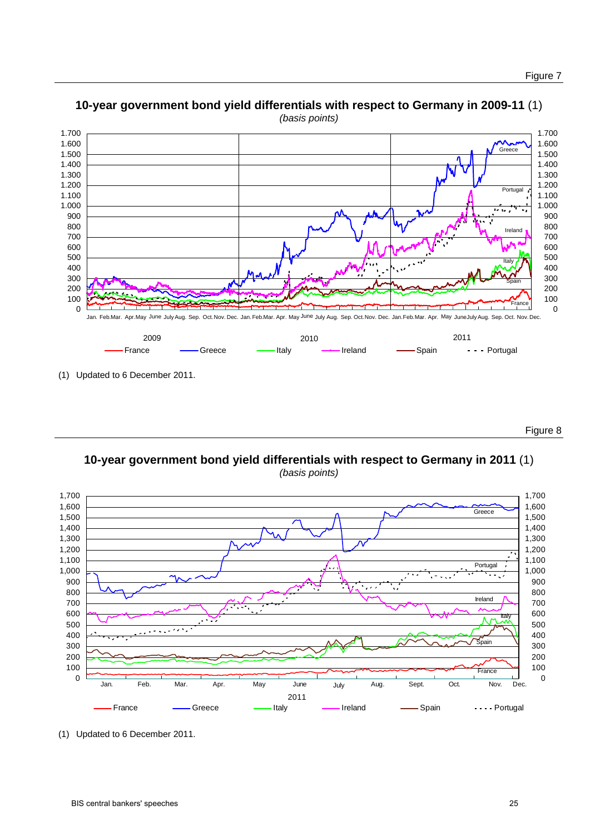

## **10-year government bond yield differentials with respect to Germany in 2009-11** (1)

(1) Updated to 6 December 2011.

Figure 8

**10-year government bond yield differentials with respect to Germany in 2011** (1) *(basis points)* 



(1) Updated to 6 December 2011.